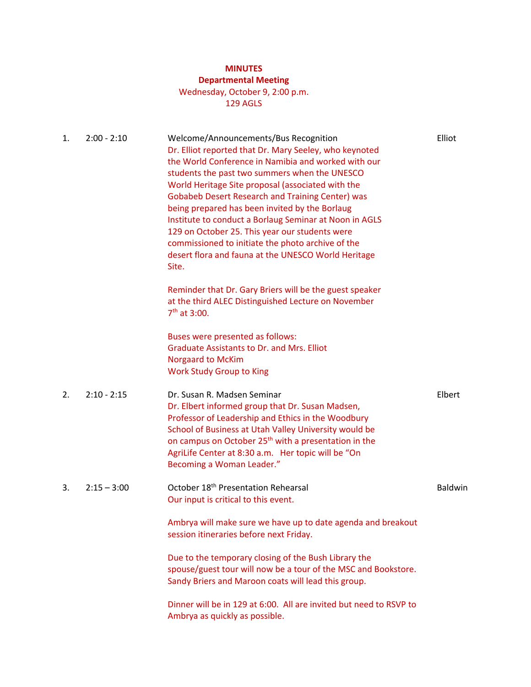# **MINUTES**

# **Departmental Meeting**

### Wednesday, October 9, 2:00 p.m. 129 AGLS

| 1. | $2:00 - 2:10$ | Welcome/Announcements/Bus Recognition<br>Dr. Elliot reported that Dr. Mary Seeley, who keynoted<br>the World Conference in Namibia and worked with our<br>students the past two summers when the UNESCO<br>World Heritage Site proposal (associated with the<br><b>Gobabeb Desert Research and Training Center) was</b><br>being prepared has been invited by the Borlaug<br>Institute to conduct a Borlaug Seminar at Noon in AGLS<br>129 on October 25. This year our students were<br>commissioned to initiate the photo archive of the<br>desert flora and fauna at the UNESCO World Heritage<br>Site. | Elliot  |
|----|---------------|------------------------------------------------------------------------------------------------------------------------------------------------------------------------------------------------------------------------------------------------------------------------------------------------------------------------------------------------------------------------------------------------------------------------------------------------------------------------------------------------------------------------------------------------------------------------------------------------------------|---------|
|    |               | Reminder that Dr. Gary Briers will be the guest speaker<br>at the third ALEC Distinguished Lecture on November<br>7 <sup>th</sup> at 3:00.                                                                                                                                                                                                                                                                                                                                                                                                                                                                 |         |
|    |               | Buses were presented as follows:<br><b>Graduate Assistants to Dr. and Mrs. Elliot</b><br><b>Norgaard to McKim</b><br><b>Work Study Group to King</b>                                                                                                                                                                                                                                                                                                                                                                                                                                                       |         |
| 2. | $2:10 - 2:15$ | Dr. Susan R. Madsen Seminar<br>Dr. Elbert informed group that Dr. Susan Madsen,<br>Professor of Leadership and Ethics in the Woodbury<br>School of Business at Utah Valley University would be<br>on campus on October 25 <sup>th</sup> with a presentation in the<br>AgriLife Center at 8:30 a.m. Her topic will be "On<br>Becoming a Woman Leader."                                                                                                                                                                                                                                                      | Elbert  |
| 3. | $2:15 - 3:00$ | October 18 <sup>th</sup> Presentation Rehearsal<br>Our input is critical to this event.                                                                                                                                                                                                                                                                                                                                                                                                                                                                                                                    | Baldwin |
|    |               | Ambrya will make sure we have up to date agenda and breakout<br>session itineraries before next Friday.                                                                                                                                                                                                                                                                                                                                                                                                                                                                                                    |         |
|    |               | Due to the temporary closing of the Bush Library the<br>spouse/guest tour will now be a tour of the MSC and Bookstore.<br>Sandy Briers and Maroon coats will lead this group.                                                                                                                                                                                                                                                                                                                                                                                                                              |         |
|    |               | Dinner will be in 129 at 6:00. All are invited but need to RSVP to<br>Ambrya as quickly as possible.                                                                                                                                                                                                                                                                                                                                                                                                                                                                                                       |         |